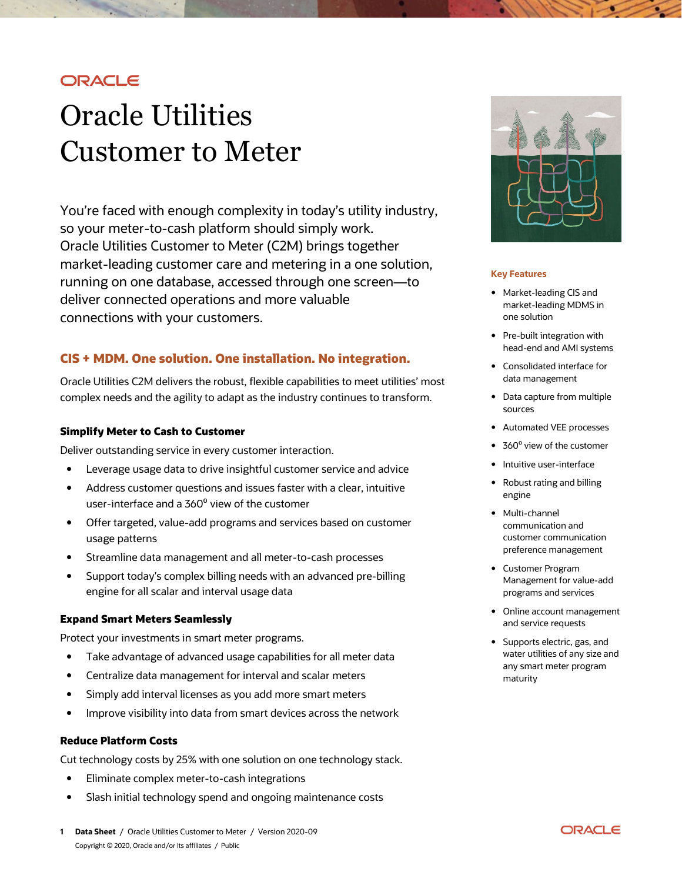## **ORACLE**

# Oracle Utilities Customer to Meter

You're faced with enough complexity in today's utility industry, so your meter-to-cash platform should simply work. Oracle Utilities Customer to Meter (C2M) brings together market-leading customer care and metering in a one solution, running on one database, accessed through one screen—to deliver connected operations and more valuable connections with your customers.

## **CIS + MDM. One solution. One installation. No integration.**

Oracle Utilities C2M delivers the robust, flexible capabilities to meet utilities' most complex needs and the agility to adapt as the industry continues to transform.

#### **Simplify Meter to Cash to Customer**

Deliver outstanding service in every customer interaction.

- Leverage usage data to drive insightful customer service and advice
- Address customer questions and issues faster with a clear, intuitive user-interface and a 360° view of the customer
- Offer targeted, value-add programs and services based on customer usage patterns
- Streamline data management and all meter-to-cash processes
- Support today's complex billing needs with an advanced pre-billing engine for all scalar and interval usage data

## **Expand Smart Meters Seamlessly**

Protect your investments in smart meter programs.

- Take advantage of advanced usage capabilities for all meter data
- Centralize data management for interval and scalar meters
- Simply add interval licenses as you add more smart meters
- Improve visibility into data from smart devices across the network

### **Reduce Platform Costs**

Cut technology costs by 25% with one solution on one technology stack.

- Eliminate complex meter-to-cash integrations
- Slash initial technology spend and ongoing maintenance costs



#### **Key Features**

- Market-leading CIS and market-leading MDMS in one solution
- Pre-built integration with head-end and AMI systems
- Consolidated interface for data management
- Data capture from multiple sources
- Automated VEE processes
- 360° view of the customer
- Intuitive user-interface
- Robust rating and billing engine
- Multi-channel communication and customer communication preference management
- Customer Program Management for value-add programs and services
- Online account management and service requests
- Supports electric, gas, and water utilities of any size and any smart meter program maturity